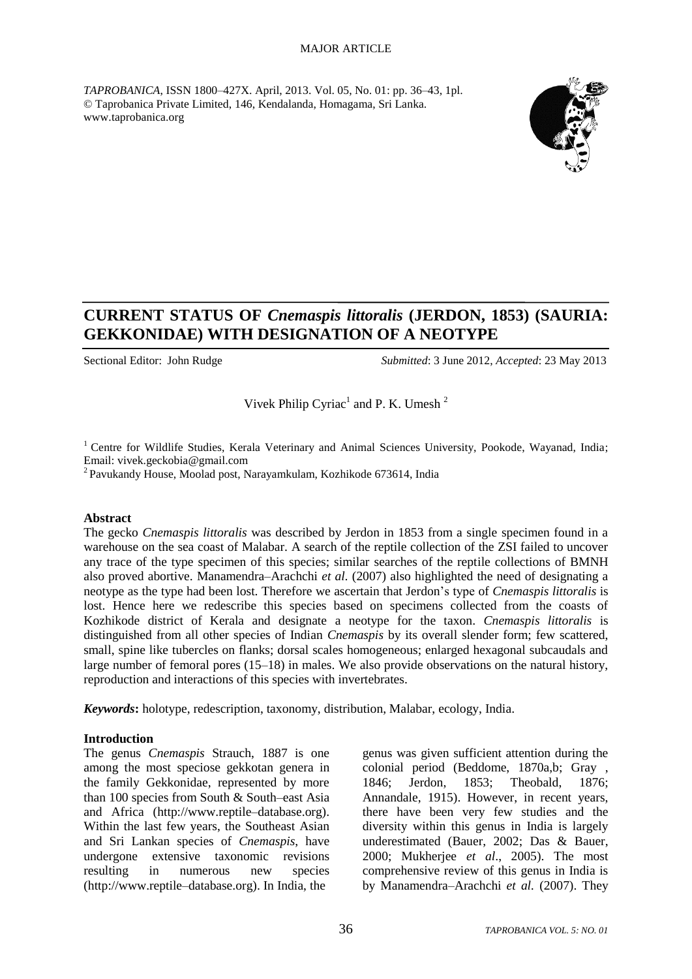#### MAJOR ARTICLE

*TAPROBANICA*, ISSN 1800–427X. April, 2013. Vol. 05, No. 01: pp. 36–43, 1pl. © Taprobanica Private Limited, 146, Kendalanda, Homagama, Sri Lanka. www.taprobanica.org



# **CURRENT STATUS OF** *Cnemaspis littoralis* **(JERDON, 1853) (SAURIA: GEKKONIDAE) WITH DESIGNATION OF A NEOTYPE**

Sectional Editor: John Rudge *Submitted*: 3 June 2012, *Accepted*: 23 May 2013

Vivek Philip Cyriac<sup>1</sup> and P. K. Umesh<sup>2</sup>

<sup>1</sup> Centre for Wildlife Studies, Kerala Veterinary and Animal Sciences University, Pookode, Wayanad, India; Email: vivek.geckobia@gmail.com

<sup>2</sup> Pavukandy House, Moolad post, Narayamkulam, Kozhikode 673614, India

### **Abstract**

The gecko *Cnemaspis littoralis* was described by Jerdon in 1853 from a single specimen found in a warehouse on the sea coast of Malabar. A search of the reptile collection of the ZSI failed to uncover any trace of the type specimen of this species; similar searches of the reptile collections of BMNH also proved abortive. Manamendra–Arachchi *et al.* (2007) also highlighted the need of designating a neotype as the type had been lost. Therefore we ascertain that Jerdon's type of *Cnemaspis littoralis* is lost. Hence here we redescribe this species based on specimens collected from the coasts of Kozhikode district of Kerala and designate a neotype for the taxon. *Cnemaspis littoralis* is distinguished from all other species of Indian *Cnemaspis* by its overall slender form; few scattered, small, spine like tubercles on flanks; dorsal scales homogeneous; enlarged hexagonal subcaudals and large number of femoral pores (15–18) in males. We also provide observations on the natural history, reproduction and interactions of this species with invertebrates.

*Keywords***:** holotype, redescription, taxonomy, distribution, Malabar, ecology, India.

## **Introduction**

The genus *Cnemaspis* Strauch, 1887 is one among the most speciose gekkotan genera in the family Gekkonidae, represented by more than 100 species from South & South–east Asia and Africa (http://www.reptile–database.org). Within the last few years, the Southeast Asian and Sri Lankan species of *Cnemaspis*, have undergone extensive taxonomic revisions resulting in numerous new species (http://www.reptile–database.org). In India, the

genus was given sufficient attention during the colonial period (Beddome, 1870a,b; Gray , 1846; Jerdon, 1853; Theobald, 1876; Annandale, 1915). However, in recent years, there have been very few studies and the diversity within this genus in India is largely underestimated (Bauer, 2002; Das & Bauer, 2000; Mukherjee *et al*., 2005). The most comprehensive review of this genus in India is by Manamendra–Arachchi *et al.* (2007). They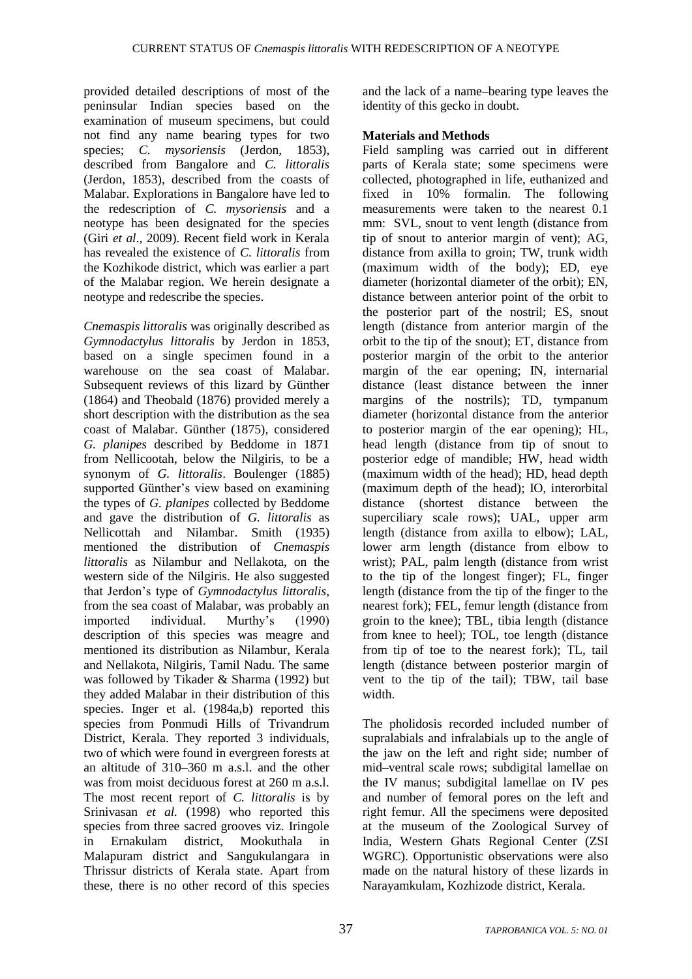provided detailed descriptions of most of the peninsular Indian species based on the examination of museum specimens, but could not find any name bearing types for two species; *C. mysoriensis* (Jerdon, 1853), described from Bangalore and *C. littoralis*  (Jerdon, 1853), described from the coasts of Malabar. Explorations in Bangalore have led to the redescription of *C. mysoriensis* and a neotype has been designated for the species (Giri *et al*., 2009). Recent field work in Kerala has revealed the existence of *C. littoralis* from the Kozhikode district, which was earlier a part of the Malabar region. We herein designate a neotype and redescribe the species.

*Cnemaspis littoralis* was originally described as *Gymnodactylus littoralis* by Jerdon in 1853, based on a single specimen found in a warehouse on the sea coast of Malabar. Subsequent reviews of this lizard by Günther (1864) and Theobald (1876) provided merely a short description with the distribution as the sea coast of Malabar. Günther (1875), considered *G. planipes* described by Beddome in 1871 from Nellicootah, below the Nilgiris, to be a synonym of *G. littoralis*. Boulenger (1885) supported Günther's view based on examining the types of *G. planipes* collected by Beddome and gave the distribution of *G. littoralis* as Nellicottah and Nilambar. Smith (1935) mentioned the distribution of *Cnemaspis littoralis* as Nilambur and Nellakota, on the western side of the Nilgiris. He also suggested that Jerdon's type of *Gymnodactylus littoralis*, from the sea coast of Malabar, was probably an imported individual. Murthy's (1990) description of this species was meagre and mentioned its distribution as Nilambur, Kerala and Nellakota, Nilgiris, Tamil Nadu. The same was followed by Tikader & Sharma (1992) but they added Malabar in their distribution of this species. Inger et al. (1984a,b) reported this species from Ponmudi Hills of Trivandrum District, Kerala. They reported 3 individuals, two of which were found in evergreen forests at an altitude of 310–360 m a.s.l. and the other was from moist deciduous forest at 260 m a.s.l. The most recent report of *C. littoralis* is by Srinivasan *et al.* (1998) who reported this species from three sacred grooves viz. Iringole in Ernakulam district, Mookuthala in Malapuram district and Sangukulangara in Thrissur districts of Kerala state. Apart from these, there is no other record of this species and the lack of a name–bearing type leaves the identity of this gecko in doubt.

# **Materials and Methods**

Field sampling was carried out in different parts of Kerala state; some specimens were collected, photographed in life, euthanized and fixed in 10% formalin. The following measurements were taken to the nearest 0.1 mm: SVL, snout to vent length (distance from tip of snout to anterior margin of vent); AG, distance from axilla to groin; TW, trunk width (maximum width of the body); ED, eye diameter (horizontal diameter of the orbit); EN, distance between anterior point of the orbit to the posterior part of the nostril; ES, snout length (distance from anterior margin of the orbit to the tip of the snout); ET, distance from posterior margin of the orbit to the anterior margin of the ear opening; IN, internarial distance (least distance between the inner margins of the nostrils); TD, tympanum diameter (horizontal distance from the anterior to posterior margin of the ear opening); HL, head length (distance from tip of snout to posterior edge of mandible; HW, head width (maximum width of the head); HD, head depth (maximum depth of the head); IO, interorbital distance (shortest distance between the superciliary scale rows); UAL, upper arm length (distance from axilla to elbow); LAL, lower arm length (distance from elbow to wrist); PAL, palm length (distance from wrist to the tip of the longest finger); FL, finger length (distance from the tip of the finger to the nearest fork); FEL, femur length (distance from groin to the knee); TBL, tibia length (distance from knee to heel); TOL, toe length (distance from tip of toe to the nearest fork); TL, tail length (distance between posterior margin of vent to the tip of the tail); TBW, tail base width.

The pholidosis recorded included number of supralabials and infralabials up to the angle of the jaw on the left and right side; number of mid–ventral scale rows; subdigital lamellae on the IV manus; subdigital lamellae on IV pes and number of femoral pores on the left and right femur. All the specimens were deposited at the museum of the Zoological Survey of India, Western Ghats Regional Center (ZSI WGRC). Opportunistic observations were also made on the natural history of these lizards in Narayamkulam, Kozhizode district, Kerala.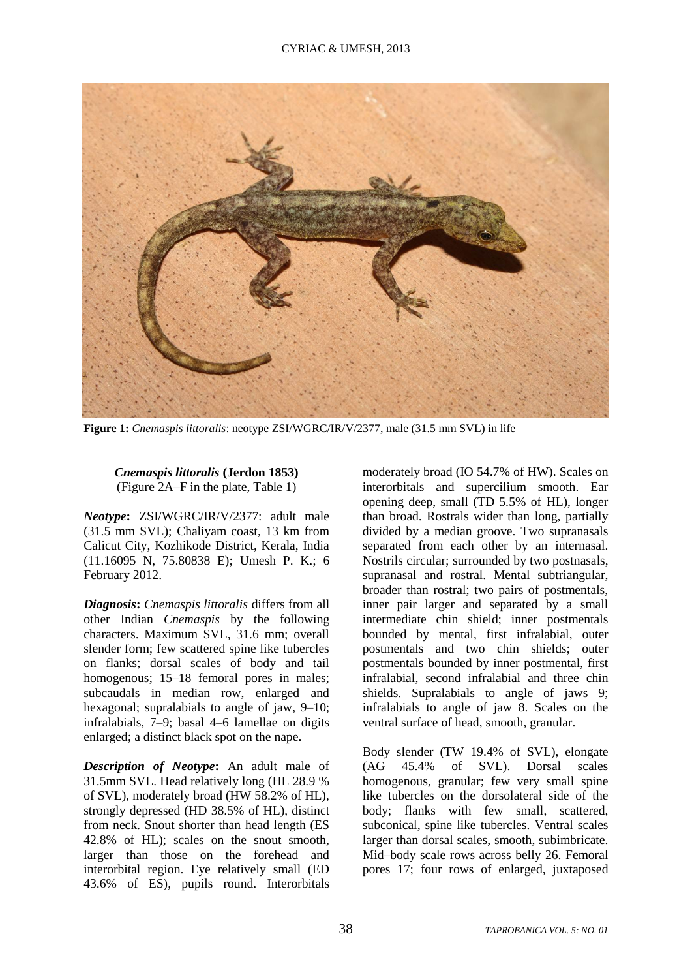

**Figure 1:** *Cnemaspis littoralis*: neotype ZSI/WGRC/IR/V/2377, male (31.5 mm SVL) in life

# *Cnemaspis littoralis* **(Jerdon 1853)** (Figure 2A–F in the plate, Table 1)

*Neotype***:** ZSI/WGRC/IR/V/2377: adult male (31.5 mm SVL); Chaliyam coast, 13 km from Calicut City, Kozhikode District, Kerala, India (11.16095 N, 75.80838 E); Umesh P. K.; 6 February 2012.

*Diagnosis***:** *Cnemaspis littoralis* differs from all other Indian *Cnemaspis* by the following characters. Maximum SVL, 31.6 mm; overall slender form; few scattered spine like tubercles on flanks; dorsal scales of body and tail homogenous; 15–18 femoral pores in males; subcaudals in median row, enlarged and hexagonal; supralabials to angle of jaw, 9–10; infralabials, 7–9; basal 4–6 lamellae on digits enlarged; a distinct black spot on the nape.

*Description of Neotype***:** An adult male of 31.5mm SVL. Head relatively long (HL 28.9 % of SVL), moderately broad (HW 58.2% of HL), strongly depressed (HD 38.5% of HL), distinct from neck. Snout shorter than head length (ES 42.8% of HL); scales on the snout smooth, larger than those on the forehead and interorbital region. Eye relatively small (ED 43.6% of ES), pupils round. Interorbitals

moderately broad (IO 54.7% of HW). Scales on interorbitals and supercilium smooth. Ear opening deep, small (TD 5.5% of HL), longer than broad. Rostrals wider than long, partially divided by a median groove. Two supranasals separated from each other by an internasal. Nostrils circular; surrounded by two postnasals, supranasal and rostral. Mental subtriangular, broader than rostral; two pairs of postmentals, inner pair larger and separated by a small intermediate chin shield; inner postmentals bounded by mental, first infralabial, outer postmentals and two chin shields; outer postmentals bounded by inner postmental, first infralabial, second infralabial and three chin shields. Supralabials to angle of jaws 9; infralabials to angle of jaw 8. Scales on the ventral surface of head, smooth, granular.

Body slender (TW 19.4% of SVL), elongate (AG 45.4% of SVL). Dorsal scales homogenous, granular; few very small spine like tubercles on the dorsolateral side of the body; flanks with few small, scattered, subconical, spine like tubercles. Ventral scales larger than dorsal scales, smooth, subimbricate. Mid–body scale rows across belly 26. Femoral pores 17; four rows of enlarged, juxtaposed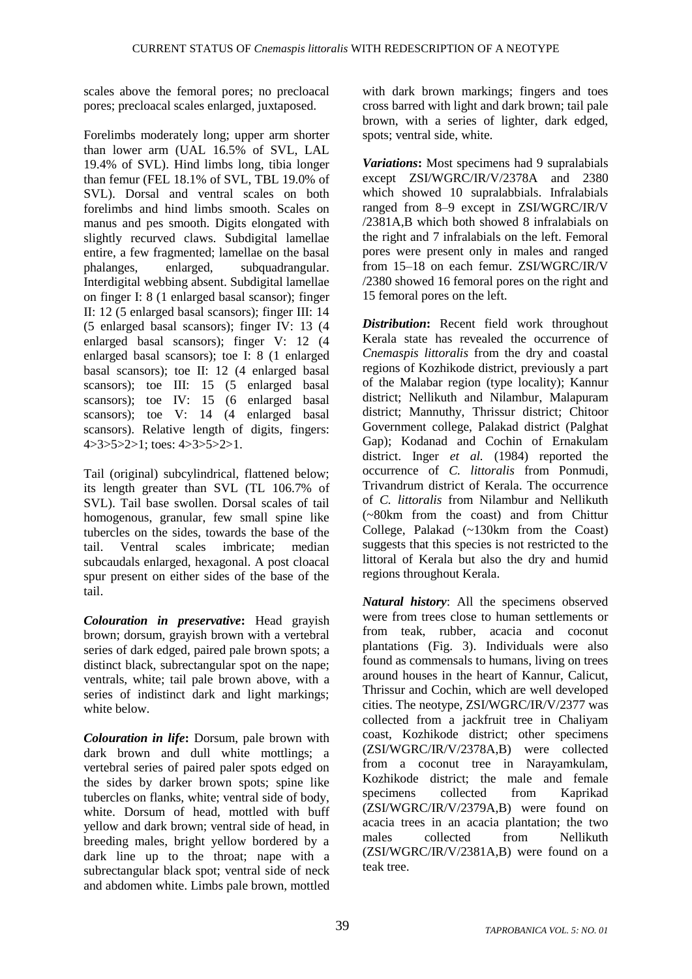scales above the femoral pores; no precloacal pores; precloacal scales enlarged, juxtaposed.

Forelimbs moderately long; upper arm shorter than lower arm (UAL 16.5% of SVL, LAL 19.4% of SVL). Hind limbs long, tibia longer than femur (FEL 18.1% of SVL, TBL 19.0% of SVL). Dorsal and ventral scales on both forelimbs and hind limbs smooth. Scales on manus and pes smooth. Digits elongated with slightly recurved claws. Subdigital lamellae entire, a few fragmented; lamellae on the basal phalanges, enlarged, subquadrangular. Interdigital webbing absent. Subdigital lamellae on finger I: 8 (1 enlarged basal scansor); finger II: 12 (5 enlarged basal scansors); finger III: 14 (5 enlarged basal scansors); finger IV: 13 (4 enlarged basal scansors); finger V: 12 (4 enlarged basal scansors); toe I: 8 (1 enlarged basal scansors); toe II: 12 (4 enlarged basal scansors); toe III: 15 (5 enlarged basal scansors); toe IV: 15 (6 enlarged basal scansors); toe V: 14 (4 enlarged basal scansors). Relative length of digits, fingers: 4>3>5>2>1; toes: 4>3>5>2>1.

Tail (original) subcylindrical, flattened below; its length greater than SVL (TL 106.7% of SVL). Tail base swollen. Dorsal scales of tail homogenous, granular, few small spine like tubercles on the sides, towards the base of the tail. Ventral scales imbricate; median subcaudals enlarged, hexagonal. A post cloacal spur present on either sides of the base of the tail.

*Colouration in preservative***:** Head grayish brown; dorsum, grayish brown with a vertebral series of dark edged, paired pale brown spots; a distinct black, subrectangular spot on the nape; ventrals, white; tail pale brown above, with a series of indistinct dark and light markings; white below.

*Colouration in life***:** Dorsum, pale brown with dark brown and dull white mottlings; a vertebral series of paired paler spots edged on the sides by darker brown spots; spine like tubercles on flanks, white; ventral side of body, white. Dorsum of head, mottled with buff yellow and dark brown; ventral side of head, in breeding males, bright yellow bordered by a dark line up to the throat; nape with a subrectangular black spot; ventral side of neck and abdomen white. Limbs pale brown, mottled with dark brown markings; fingers and toes cross barred with light and dark brown; tail pale brown, with a series of lighter, dark edged, spots; ventral side, white.

*Variations***:** Most specimens had 9 supralabials except ZSI/WGRC/IR/V/2378A and 2380 which showed 10 supralabbials. Infralabials ranged from 8–9 except in ZSI/WGRC/IR/V /2381A,B which both showed 8 infralabials on the right and 7 infralabials on the left. Femoral pores were present only in males and ranged from 15–18 on each femur. ZSI/WGRC/IR/V /2380 showed 16 femoral pores on the right and 15 femoral pores on the left.

*Distribution***:** Recent field work throughout Kerala state has revealed the occurrence of *Cnemaspis littoralis* from the dry and coastal regions of Kozhikode district, previously a part of the Malabar region (type locality); Kannur district; Nellikuth and Nilambur, Malapuram district; Mannuthy, Thrissur district; Chitoor Government college, Palakad district (Palghat Gap); Kodanad and Cochin of Ernakulam district. Inger *et al.* (1984) reported the occurrence of *C. littoralis* from Ponmudi, Trivandrum district of Kerala. The occurrence of *C. littoralis* from Nilambur and Nellikuth (~80km from the coast) and from Chittur College, Palakad (~130km from the Coast) suggests that this species is not restricted to the littoral of Kerala but also the dry and humid regions throughout Kerala.

*Natural history*: All the specimens observed were from trees close to human settlements or from teak, rubber, acacia and coconut plantations (Fig. 3). Individuals were also found as commensals to humans, living on trees around houses in the heart of Kannur, Calicut, Thrissur and Cochin, which are well developed cities. The neotype, ZSI/WGRC/IR/V/2377 was collected from a jackfruit tree in Chaliyam coast, Kozhikode district; other specimens (ZSI/WGRC/IR/V/2378A,B) were collected from a coconut tree in Narayamkulam, Kozhikode district; the male and female specimens collected from Kaprikad (ZSI/WGRC/IR/V/2379A,B) were found on acacia trees in an acacia plantation; the two males collected from Nellikuth (ZSI/WGRC/IR/V/2381A,B) were found on a teak tree.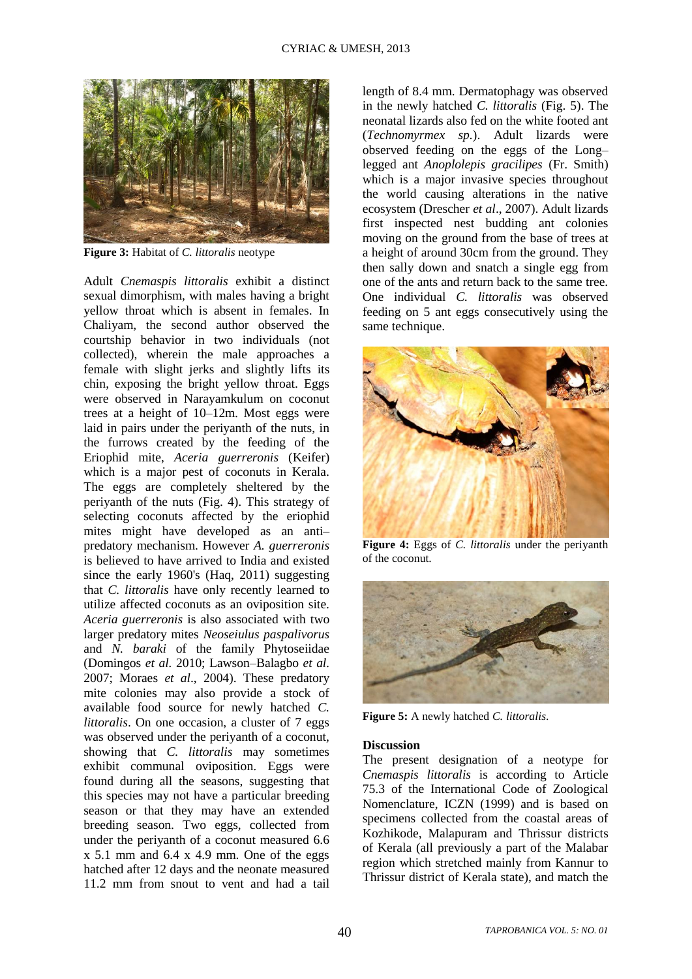

**Figure 3:** Habitat of *C. littoralis* neotype

Adult *Cnemaspis littoralis* exhibit a distinct sexual dimorphism, with males having a bright yellow throat which is absent in females. In Chaliyam, the second author observed the courtship behavior in two individuals (not collected), wherein the male approaches a female with slight jerks and slightly lifts its chin, exposing the bright yellow throat. Eggs were observed in Narayamkulum on coconut trees at a height of 10–12m. Most eggs were laid in pairs under the periyanth of the nuts, in the furrows created by the feeding of the Eriophid mite, *Aceria guerreronis* (Keifer) which is a major pest of coconuts in Kerala. The eggs are completely sheltered by the periyanth of the nuts (Fig. 4). This strategy of selecting coconuts affected by the eriophid mites might have developed as an anti– predatory mechanism. However *A. guerreronis* is believed to have arrived to India and existed since the early 1960's (Haq, 2011) suggesting that *C. littoralis* have only recently learned to utilize affected coconuts as an oviposition site. *Aceria guerreronis* is also associated with two larger predatory mites *Neoseiulus paspalivorus*  and *N. baraki* of the family Phytoseiidae (Domingos *et al.* 2010; Lawson–Balagbo *et al.* 2007; Moraes *et al*., 2004). These predatory mite colonies may also provide a stock of available food source for newly hatched *C. littoralis*. On one occasion, a cluster of 7 eggs was observed under the periyanth of a coconut, showing that *C. littoralis* may sometimes exhibit communal oviposition. Eggs were found during all the seasons, suggesting that this species may not have a particular breeding season or that they may have an extended breeding season. Two eggs, collected from under the periyanth of a coconut measured 6.6  $x$  5.1 mm and 6.4  $x$  4.9 mm. One of the eggs hatched after 12 days and the neonate measured 11.2 mm from snout to vent and had a tail

length of 8.4 mm. Dermatophagy was observed in the newly hatched *C. littoralis* (Fig. 5). The neonatal lizards also fed on the white footed ant (*Technomyrmex sp.*). Adult lizards were observed feeding on the eggs of the Long– legged ant *Anoplolepis gracilipes* (Fr. Smith) which is a major invasive species throughout the world causing alterations in the native ecosystem (Drescher *et al*., 2007). Adult lizards first inspected nest budding ant colonies moving on the ground from the base of trees at a height of around 30cm from the ground. They then sally down and snatch a single egg from one of the ants and return back to the same tree. One individual *C. littoralis* was observed feeding on 5 ant eggs consecutively using the same technique.



**Figure 4:** Eggs of *C. littoralis* under the periyanth of the coconut.



**Figure 5:** A newly hatched *C. littoralis*.

#### **Discussion**

The present designation of a neotype for *Cnemaspis littoralis* is according to Article 75.3 of the International Code of Zoological Nomenclature, ICZN (1999) and is based on specimens collected from the coastal areas of Kozhikode, Malapuram and Thrissur districts of Kerala (all previously a part of the Malabar region which stretched mainly from Kannur to Thrissur district of Kerala state), and match the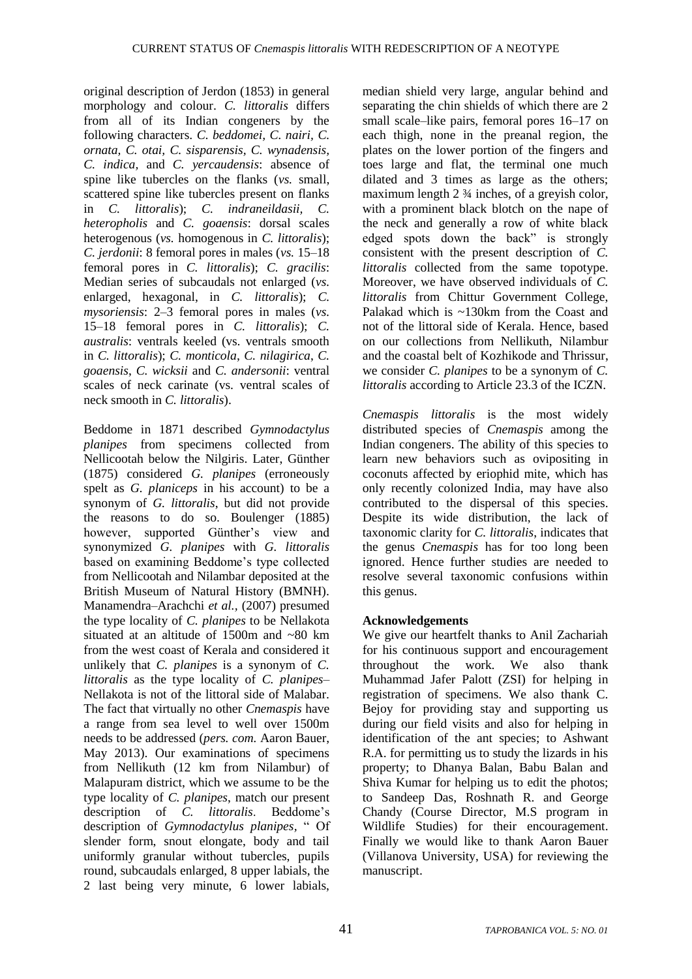original description of Jerdon (1853) in general morphology and colour. *C. littoralis* differs from all of its Indian congeners by the following characters. *C. beddomei, C. nairi, C. ornata, C. otai, C. sisparensis, C. wynadensis, C. indica,* and *C. yercaudensis*: absence of spine like tubercles on the flanks (*vs.* small, scattered spine like tubercles present on flanks in *C. littoralis*); *C. indraneildasii, C. heteropholis* and *C. goaensis*: dorsal scales heterogenous (*vs.* homogenous in *C. littoralis*); *C. jerdonii*: 8 femoral pores in males (*vs.* 15–18 femoral pores in *C. littoralis*); *C. gracilis*: Median series of subcaudals not enlarged (*vs.* enlarged, hexagonal, in *C. littoralis*); *C. mysoriensis*: 2–3 femoral pores in males (*vs.* 15–18 femoral pores in *C. littoralis*); *C. australis*: ventrals keeled (vs. ventrals smooth in *C. littoralis*); *C. monticola*, *C. nilagirica*, *C. goaensis*, *C. wicksii* and *C. andersonii*: ventral scales of neck carinate (vs. ventral scales of neck smooth in *C. littoralis*).

Beddome in 1871 described *Gymnodactylus planipes* from specimens collected from Nellicootah below the Nilgiris. Later, Günther (1875) considered *G. planipes* (erroneously spelt as *G. planiceps* in his account) to be a synonym of *G. littoralis*, but did not provide the reasons to do so. Boulenger (1885) however, supported Günther's view and synonymized *G. planipes* with *G. littoralis* based on examining Beddome's type collected from Nellicootah and Nilambar deposited at the British Museum of Natural History (BMNH). Manamendra–Arachchi *et al.,* (2007) presumed the type locality of *C. planipes* to be Nellakota situated at an altitude of 1500m and ~80 km from the west coast of Kerala and considered it unlikely that *C. planipes* is a synonym of *C. littoralis* as the type locality of *C. planipes–* Nellakota is not of the littoral side of Malabar. The fact that virtually no other *Cnemaspis* have a range from sea level to well over 1500m needs to be addressed (*pers. com.* Aaron Bauer, May 2013). Our examinations of specimens from Nellikuth (12 km from Nilambur) of Malapuram district, which we assume to be the type locality of *C. planipes*, match our present description of *C. littoralis*. Beddome's description of *Gymnodactylus planipes,* " Of slender form, snout elongate, body and tail uniformly granular without tubercles, pupils round, subcaudals enlarged, 8 upper labials, the 2 last being very minute, 6 lower labials,

median shield very large, angular behind and separating the chin shields of which there are 2 small scale–like pairs, femoral pores 16–17 on each thigh, none in the preanal region, the plates on the lower portion of the fingers and toes large and flat, the terminal one much dilated and 3 times as large as the others; maximum length 2 ¾ inches, of a greyish color, with a prominent black blotch on the nape of the neck and generally a row of white black edged spots down the back" is strongly consistent with the present description of *C. littoralis* collected from the same topotype. Moreover, we have observed individuals of *C. littoralis* from Chittur Government College, Palakad which is ~130km from the Coast and not of the littoral side of Kerala. Hence, based on our collections from Nellikuth, Nilambur and the coastal belt of Kozhikode and Thrissur, we consider *C. planipes* to be a synonym of *C. littoralis* according to Article 23.3 of the ICZN.

*Cnemaspis littoralis* is the most widely distributed species of *Cnemaspis* among the Indian congeners. The ability of this species to learn new behaviors such as ovipositing in coconuts affected by eriophid mite, which has only recently colonized India, may have also contributed to the dispersal of this species. Despite its wide distribution, the lack of taxonomic clarity for *C. littoralis*, indicates that the genus *Cnemaspis* has for too long been ignored. Hence further studies are needed to resolve several taxonomic confusions within this genus.

# **Acknowledgements**

We give our heartfelt thanks to Anil Zachariah for his continuous support and encouragement throughout the work. We also thank Muhammad Jafer Palott (ZSI) for helping in registration of specimens. We also thank C. Bejoy for providing stay and supporting us during our field visits and also for helping in identification of the ant species; to Ashwant R.A. for permitting us to study the lizards in his property; to Dhanya Balan, Babu Balan and Shiva Kumar for helping us to edit the photos; to Sandeep Das, Roshnath R. and George Chandy (Course Director, M.S program in Wildlife Studies) for their encouragement. Finally we would like to thank Aaron Bauer (Villanova University, USA) for reviewing the manuscript.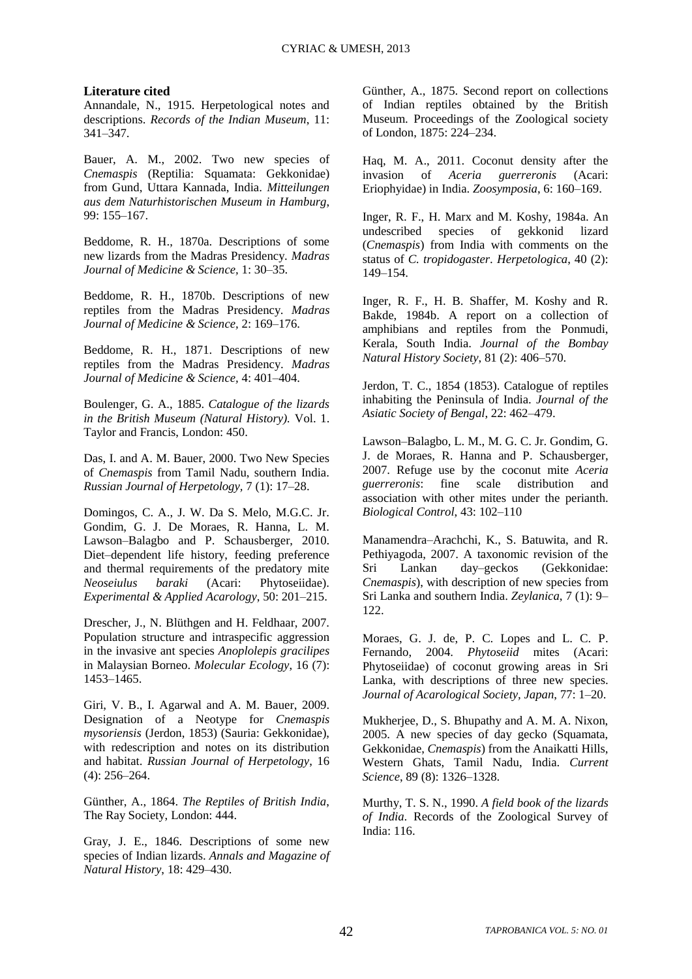#### **Literature cited**

Annandale, N., 1915. Herpetological notes and descriptions. *Records of the Indian Museum*, 11: 341–347.

Bauer, A. M., 2002. Two new species of *Cnemaspis* (Reptilia: Squamata: Gekkonidae) from Gund, Uttara Kannada, India. *Mitteilungen aus dem Naturhistorischen Museum in Hamburg*, 99: 155–167.

Beddome, R. H., 1870a. Descriptions of some new lizards from the Madras Presidency. *Madras Journal of Medicine & Science,* 1: 30–35.

Beddome, R. H., 1870b. Descriptions of new reptiles from the Madras Presidency. *Madras Journal of Medicine & Science,* 2: 169–176.

Beddome, R. H., 1871. Descriptions of new reptiles from the Madras Presidency. *Madras Journal of Medicine & Science,* 4: 401–404.

Boulenger, G. A., 1885. *Catalogue of the lizards in the British Museum (Natural History).* Vol. 1. Taylor and Francis, London: 450.

Das, I. and A. M. Bauer, 2000. Two New Species of *Cnemaspis* from Tamil Nadu, southern India. *Russian Journal of Herpetology,* 7 (1): 17–28.

Domingos, C. A., J. W. Da S. Melo, M.G.C. Jr. Gondim, G. J. De Moraes, R. Hanna, L. M. Lawson–Balagbo and P. Schausberger, 2010. Diet–dependent life history, feeding preference and thermal requirements of the predatory mite *Neoseiulus baraki* (Acari: Phytoseiidae). *Experimental & Applied Acarology*, 50: 201–215.

Drescher, J., N. Blüthgen and H. Feldhaar, 2007. Population structure and intraspecific aggression in the invasive ant species *Anoplolepis gracilipes* in Malaysian Borneo. *Molecular Ecology*, 16 (7): 1453–1465.

Giri, V. B., I. Agarwal and A. M. Bauer, 2009. Designation of a Neotype for *Cnemaspis mysoriensis* (Jerdon, 1853) (Sauria: Gekkonidae), with redescription and notes on its distribution and habitat. *Russian Journal of Herpetology*, 16 (4): 256–264.

Günther, A., 1864. *The Reptiles of British India*, The Ray Society, London: 444.

Gray, J. E., 1846. Descriptions of some new species of Indian lizards. *Annals and Magazine of Natural History*, 18: 429–430.

Günther, A., 1875. Second report on collections of Indian reptiles obtained by the British Museum. Proceedings of the Zoological society of London, 1875: 224–234.

Haq, M. A., 2011. Coconut density after the invasion of *Aceria guerreronis* (Acari: Eriophyidae) in India. *Zoosymposia*, 6: 160–169.

Inger, R. F., H. Marx and M. Koshy, 1984a. An undescribed species of gekkonid lizard (*Cnemaspis*) from India with comments on the status of *C. tropidogaster*. *Herpetologica*, 40 (2): 149–154.

Inger, R. F., H. B. Shaffer, M. Koshy and R. Bakde, 1984b. A report on a collection of amphibians and reptiles from the Ponmudi, Kerala, South India. *Journal of the Bombay Natural History Society*, 81 (2): 406–570.

Jerdon, T. C., 1854 (1853). Catalogue of reptiles inhabiting the Peninsula of India. *Journal of the Asiatic Society of Bengal*, 22: 462–479.

Lawson–Balagbo, L. M., M. G. C. Jr. Gondim, G. J. de Moraes, R. Hanna and P. Schausberger, 2007. Refuge use by the coconut mite *Aceria guerreronis*: fine scale distribution and association with other mites under the perianth. *Biological Control*, 43: 102–110

Manamendra–Arachchi, K., S. Batuwita, and R. Pethiyagoda, 2007. A taxonomic revision of the Sri Lankan day–geckos (Gekkonidae: *Cnemaspis*), with description of new species from Sri Lanka and southern India. *Zeylanica*, 7 (1): 9– 122.

Moraes, G. J. de, P. C. Lopes and L. C. P. Fernando, 2004. *Phytoseiid* mites (Acari: Phytoseiidae) of coconut growing areas in Sri Lanka, with descriptions of three new species. *Journal of Acarological Society, Japan*, 77: 1–20.

Mukherjee, D., S. Bhupathy and A. M. A. Nixon, 2005. A new species of day gecko (Squamata, Gekkonidae, *Cnemaspis*) from the Anaikatti Hills, Western Ghats, Tamil Nadu, India. *Current Science*, 89 (8): 1326–1328.

Murthy, T. S. N., 1990. *A field book of the lizards of India*. Records of the Zoological Survey of India: 116.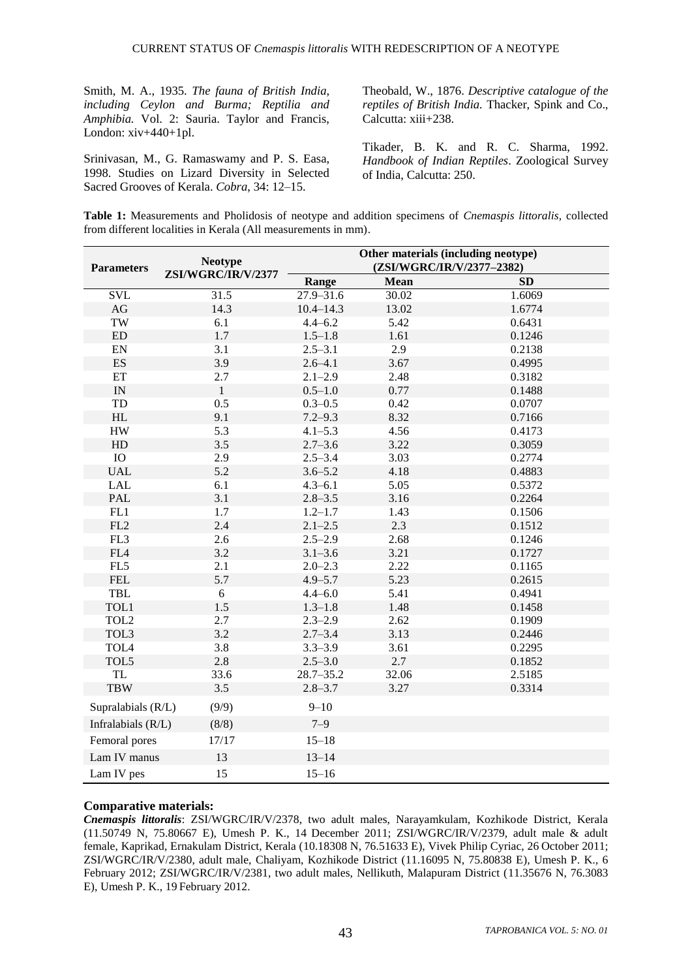Smith, M. A., 1935. *The fauna of British India, including Ceylon and Burma; Reptilia and Amphibia.* Vol. 2: Sauria. Taylor and Francis, London: xiv+440+1pl.

Srinivasan, M., G. Ramaswamy and P. S. Easa, 1998. Studies on Lizard Diversity in Selected Sacred Grooves of Kerala. *Cobra*, 34: 12–15.

Theobald, W., 1876. *Descriptive catalogue of the reptiles of British India.* Thacker, Spink and Co., Calcutta: xiii+238.

Tikader, B. K. and R. C. Sharma, 1992. *Handbook of Indian Reptiles*. Zoological Survey of India, Calcutta: 250.

| Table 1: Measurements and Pholidosis of neotype and addition specimens of Cnemaspis littoralis, collected |  |
|-----------------------------------------------------------------------------------------------------------|--|
| from different localities in Kerala (All measurements in mm).                                             |  |

| <b>Parameters</b>          | <b>Neotype</b><br>ZSI/WGRC/IR/V/2377 | Other materials (including neotype)<br>(ZSI/WGRC/IR/V/2377-2382) |             |        |
|----------------------------|--------------------------------------|------------------------------------------------------------------|-------------|--------|
|                            |                                      | Range                                                            | <b>Mean</b> | SD     |
| <b>SVL</b>                 | 31.5                                 | $27.9 - 31.6$                                                    | 30.02       | 1.6069 |
| $\rm{AG}$                  | 14.3                                 | $10.4 - 14.3$                                                    | 13.02       | 1.6774 |
| TW                         | 6.1                                  | $4.4 - 6.2$                                                      | 5.42        | 0.6431 |
| ${\rm ED}$                 | 1.7                                  | $1.5 - 1.8$                                                      | 1.61        | 0.1246 |
| ${\rm EN}$                 | 3.1                                  | $2.5 - 3.1$                                                      | 2.9         | 0.2138 |
| $\mathop{\hbox{\rm ES}}$   | 3.9                                  | $2.6 - 4.1$                                                      | 3.67        | 0.4995 |
| $\mathop{\rm ET}\nolimits$ | 2.7                                  | $2.1 - 2.9$                                                      | 2.48        | 0.3182 |
| $\ensuremath{\text{IN}}$   | $\mathbf{1}$                         | $0.5 - 1.0$                                                      | 0.77        | 0.1488 |
| ${\rm TD}$                 | 0.5                                  | $0.3 - 0.5$                                                      | 0.42        | 0.0707 |
| $\rm HL$                   | 9.1                                  | $7.2 - 9.3$                                                      | 8.32        | 0.7166 |
| ${\rm HW}$                 | 5.3                                  | $4.1 - 5.3$                                                      | 4.56        | 0.4173 |
| HD                         | 3.5                                  | $2.7 - 3.6$                                                      | 3.22        | 0.3059 |
| IO                         | 2.9                                  | $2.5 - 3.4$                                                      | 3.03        | 0.2774 |
| <b>UAL</b>                 | 5.2                                  | $3.6 - 5.2$                                                      | 4.18        | 0.4883 |
| <b>LAL</b>                 | 6.1                                  | $4.3 - 6.1$                                                      | 5.05        | 0.5372 |
| PAL                        | 3.1                                  | $2.8 - 3.5$                                                      | 3.16        | 0.2264 |
| FL1                        | 1.7                                  | $1.2 - 1.7$                                                      | 1.43        | 0.1506 |
| $\rm FL2$                  | 2.4                                  | $2.1 - 2.5$                                                      | 2.3         | 0.1512 |
| FL3                        | 2.6                                  | $2.5 - 2.9$                                                      | 2.68        | 0.1246 |
| ${\rm F}L4$                | 3.2                                  | $3.1 - 3.6$                                                      | 3.21        | 0.1727 |
| FL5                        | 2.1                                  | $2.0 - 2.3$                                                      | 2.22        | 0.1165 |
| <b>FEL</b>                 | 5.7                                  | $4.9 - 5.7$                                                      | 5.23        | 0.2615 |
| TBL                        | 6                                    | $4.4 - 6.0$                                                      | 5.41        | 0.4941 |
| TOL1                       | 1.5                                  | $1.3 - 1.8$                                                      | 1.48        | 0.1458 |
| TOL <sub>2</sub>           | 2.7                                  | $2.3 - 2.9$                                                      | 2.62        | 0.1909 |
| TOL3                       | 3.2                                  | $2.7 - 3.4$                                                      | 3.13        | 0.2446 |
| TOL4                       | 3.8                                  | $3.3 - 3.9$                                                      | 3.61        | 0.2295 |
| TOL5                       | 2.8                                  | $2.5 - 3.0$                                                      | 2.7         | 0.1852 |
| <b>TL</b>                  | 33.6                                 | $28.7 - 35.2$                                                    | 32.06       | 2.5185 |
| <b>TBW</b>                 | 3.5                                  | $2.8 - 3.7$                                                      | 3.27        | 0.3314 |
| Supralabials (R/L)         | (9/9)                                | $9 - 10$                                                         |             |        |
| Infralabials (R/L)         | (8/8)                                | $7 - 9$                                                          |             |        |
| Femoral pores              | 17/17                                | $15 - 18$                                                        |             |        |
| Lam IV manus               | 13                                   | $13 - 14$                                                        |             |        |
| Lam IV pes                 | 15                                   | $15 - 16$                                                        |             |        |

#### **Comparative materials:**

*Cnemaspis littoralis*: ZSI/WGRC/IR/V/2378, two adult males, Narayamkulam, Kozhikode District, Kerala (11.50749 N, 75.80667 E), Umesh P. K., 14 December 2011; ZSI/WGRC/IR/V/2379, adult male & adult female, Kaprikad, Ernakulam District, Kerala (10.18308 N, 76.51633 E), Vivek Philip Cyriac, 26 October 2011; ZSI/WGRC/IR/V/2380, adult male, Chaliyam, Kozhikode District (11.16095 N, 75.80838 E), Umesh P. K., 6 February 2012; ZSI/WGRC/IR/V/2381, two adult males, Nellikuth, Malapuram District (11.35676 N, 76.3083 E), Umesh P. K., 19 February 2012.